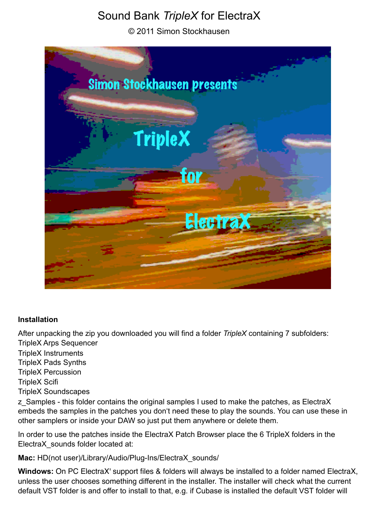# Sound Bank *TripleX* for ElectraX

© 2011 Simon Stockhausen



#### **Installation**

After unpacking the zip you downloaded you will find a folder *TripleX* containing 7 subfolders: TripleX Arps Sequencer

TripleX Instruments TripleX Pads Synths TripleX Percussion TripleX Scifi TripleX Soundscapes

z Samples - this folder contains the original samples I used to make the patches, as ElectraX embeds the samples in the patches you don't need these to play the sounds. You can use these in other samplers or inside your DAW so just put them anywhere or delete them.

In order to use the patches inside the ElectraX Patch Browser place the 6 TripleX folders in the ElectraX\_sounds folder located at:

**Mac:** HD(not user)/Library/Audio/Plug-Ins/ElectraX\_sounds/

**Windows:** On PC ElectraX' support files & folders will always be installed to a folder named ElectraX, unless the user chooses something different in the installer. The installer will check what the current default VST folder is and offer to install to that, e.g. if Cubase is installed the default VST folder will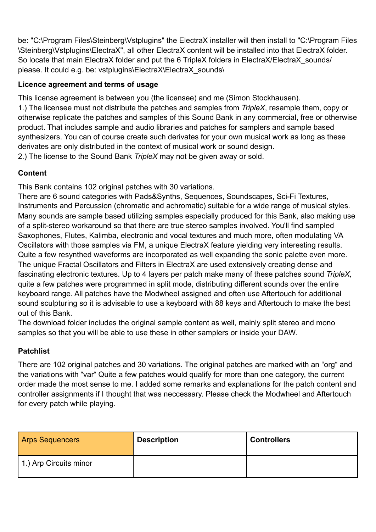be: "C:\Program Files\Steinberg\Vstplugins" the ElectraX installer will then install to "C:\Program Files \Steinberg\Vstplugins\ElectraX", all other ElectraX content will be installed into that ElectraX folder. So locate that main ElectraX folder and put the 6 TripleX folders in ElectraX/ElectraX\_sounds/ please. It could e.g. be: vstplugins\ElectraX\ElectraX\_sounds\

### **Licence agreement and terms of usage**

This license agreement is between you (the licensee) and me (Simon Stockhausen).

1.) The licensee must not distribute the patches and samples from *TripleX*, resample them, copy or otherwise replicate the patches and samples of this Sound Bank in any commercial, free or otherwise product. That includes sample and audio libraries and patches for samplers and sample based synthesizers. You can of course create such derivates for your own musical work as long as these derivates are only distributed in the context of musical work or sound design.

2.) The license to the Sound Bank *TripleX* may not be given away or sold.

### **Content**

This Bank contains 102 original patches with 30 variations.

There are 6 sound categories with Pads&Synths, Sequences, Soundscapes, Sci-Fi Textures, Instruments and Percussion (chromatic and achromatic) suitable for a wide range of musical styles. Many sounds are sample based utilizing samples especially produced for this Bank, also making use of a split-stereo workaround so that there are true stereo samples involved. You'll find sampled Saxophones, Flutes, Kalimba, electronic and vocal textures and much more, often modulating VA Oscillators with those samples via FM, a unique ElectraX feature yielding very interesting results. Quite a few resynthed waveforms are incorporated as well expanding the sonic palette even more. The unique Fractal Oscillators and Filters in ElectraX are used extensively creating dense and fascinating electronic textures. Up to 4 layers per patch make many of these patches sound *TripleX,* quite a few patches were programmed in split mode, distributing different sounds over the entire keyboard range. All patches have the Modwheel assigned and often use Aftertouch for additional sound sculpturing so it is advisable to use a keyboard with 88 keys and Aftertouch to make the best out of this Bank.

The download folder includes the original sample content as well, mainly split stereo and mono samples so that you will be able to use these in other samplers or inside your DAW.

## **Patchlist**

There are 102 original patches and 30 variations. The original patches are marked with an "org" and the variations with "var" Quite a few patches would qualify for more than one category, the current order made the most sense to me. I added some remarks and explanations for the patch content and controller assignments if I thought that was neccessary. Please check the Modwheel and Aftertouch for every patch while playing.

| <b>Arps Sequencers</b> | <b>Description</b> | <b>Controllers</b> |
|------------------------|--------------------|--------------------|
| 1.) Arp Circuits minor |                    |                    |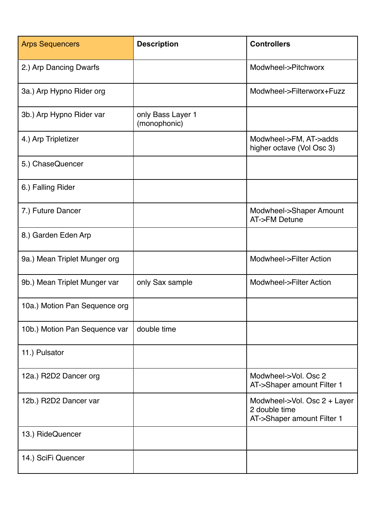| <b>Arps Sequencers</b>        | <b>Description</b>                | <b>Controllers</b>                                                          |
|-------------------------------|-----------------------------------|-----------------------------------------------------------------------------|
| 2.) Arp Dancing Dwarfs        |                                   | Modwheel->Pitchworx                                                         |
| 3a.) Arp Hypno Rider org      |                                   | Modwheel->Filterworx+Fuzz                                                   |
| 3b.) Arp Hypno Rider var      | only Bass Layer 1<br>(monophonic) |                                                                             |
| 4.) Arp Tripletizer           |                                   | Modwheel->FM, AT->adds<br>higher octave (Vol Osc 3)                         |
| 5.) ChaseQuencer              |                                   |                                                                             |
| 6.) Falling Rider             |                                   |                                                                             |
| 7.) Future Dancer             |                                   | Modwheel->Shaper Amount<br>AT->FM Detune                                    |
| 8.) Garden Eden Arp           |                                   |                                                                             |
| 9a.) Mean Triplet Munger org  |                                   | Modwheel->Filter Action                                                     |
| 9b.) Mean Triplet Munger var  | only Sax sample                   | Modwheel->Filter Action                                                     |
| 10a.) Motion Pan Sequence org |                                   |                                                                             |
| 10b.) Motion Pan Sequence var | double time                       |                                                                             |
| 11.) Pulsator                 |                                   |                                                                             |
| 12a.) R2D2 Dancer org         |                                   | Modwheel->Vol. Osc 2<br>AT->Shaper amount Filter 1                          |
| 12b.) R2D2 Dancer var         |                                   | Modwheel->Vol. Osc 2 + Layer<br>2 double time<br>AT->Shaper amount Filter 1 |
| 13.) RideQuencer              |                                   |                                                                             |
| 14.) SciFi Quencer            |                                   |                                                                             |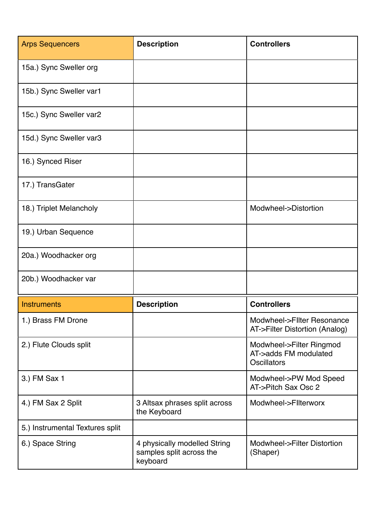| <b>Arps Sequencers</b>          | <b>Description</b>                                                   | <b>Controllers</b>                                                      |
|---------------------------------|----------------------------------------------------------------------|-------------------------------------------------------------------------|
| 15a.) Sync Sweller org          |                                                                      |                                                                         |
| 15b.) Sync Sweller var1         |                                                                      |                                                                         |
| 15c.) Sync Sweller var2         |                                                                      |                                                                         |
| 15d.) Sync Sweller var3         |                                                                      |                                                                         |
| 16.) Synced Riser               |                                                                      |                                                                         |
| 17.) TransGater                 |                                                                      |                                                                         |
| 18.) Triplet Melancholy         |                                                                      | Modwheel->Distortion                                                    |
| 19.) Urban Sequence             |                                                                      |                                                                         |
| 20a.) Woodhacker org            |                                                                      |                                                                         |
| 20b.) Woodhacker var            |                                                                      |                                                                         |
| <b>Instruments</b>              | <b>Description</b>                                                   | <b>Controllers</b>                                                      |
| 1.) Brass FM Drone              |                                                                      | Modwheel->Fliter Resonance<br>AT->Filter Distortion (Analog)            |
| 2.) Flute Clouds split          |                                                                      | Modwheel->Filter Ringmod<br>AT->adds FM modulated<br><b>Oscillators</b> |
| 3.) FM Sax 1                    |                                                                      | Modwheel->PW Mod Speed<br>AT->Pitch Sax Osc 2                           |
| 4.) FM Sax 2 Split              | 3 Altsax phrases split across<br>the Keyboard                        | Modwheel->Fliterworx                                                    |
| 5.) Instrumental Textures split |                                                                      |                                                                         |
| 6.) Space String                | 4 physically modelled String<br>samples split across the<br>keyboard | Modwheel->Filter Distortion<br>(Shaper)                                 |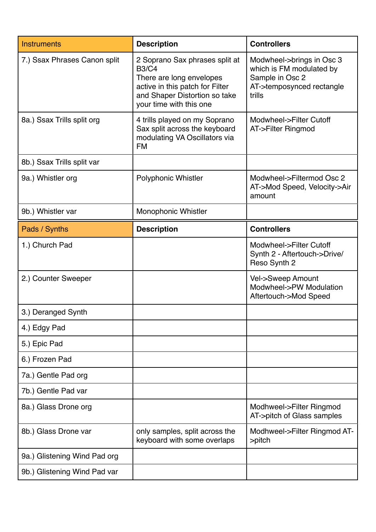| <b>Instruments</b>           | <b>Description</b>                                                                                                                                                        | <b>Controllers</b>                                                                                              |
|------------------------------|---------------------------------------------------------------------------------------------------------------------------------------------------------------------------|-----------------------------------------------------------------------------------------------------------------|
| 7.) Ssax Phrases Canon split | 2 Soprano Sax phrases split at<br><b>B3/C4</b><br>There are long envelopes<br>active in this patch for Filter<br>and Shaper Distortion so take<br>your time with this one | Modwheel->brings in Osc 3<br>which is FM modulated by<br>Sample in Osc 2<br>AT->temposynced rectangle<br>trills |
| 8a.) Ssax Trills split org   | 4 trills played on my Soprano<br>Sax split across the keyboard<br>modulating VA Oscillators via<br><b>FM</b>                                                              | Modwheel->Filter Cutoff<br>AT->Filter Ringmod                                                                   |
| 8b.) Ssax Trills split var   |                                                                                                                                                                           |                                                                                                                 |
| 9a.) Whistler org            | <b>Polyphonic Whistler</b>                                                                                                                                                | Modwheel->Filtermod Osc 2<br>AT->Mod Speed, Velocity->Air<br>amount                                             |
| 9b.) Whistler var            | <b>Monophonic Whistler</b>                                                                                                                                                |                                                                                                                 |
| Pads / Synths                | <b>Description</b>                                                                                                                                                        | <b>Controllers</b>                                                                                              |
| 1.) Church Pad               |                                                                                                                                                                           | Modwheel->Filter Cutoff<br>Synth 2 - Aftertouch->Drive/<br>Reso Synth 2                                         |
| 2.) Counter Sweeper          |                                                                                                                                                                           | Vel->Sweep Amount<br>Modwheel->PW Modulation<br>Aftertouch->Mod Speed                                           |
| 3.) Deranged Synth           |                                                                                                                                                                           |                                                                                                                 |
| 4.) Edgy Pad                 |                                                                                                                                                                           |                                                                                                                 |
| 5.) Epic Pad                 |                                                                                                                                                                           |                                                                                                                 |
| 6.) Frozen Pad               |                                                                                                                                                                           |                                                                                                                 |
| 7a.) Gentle Pad org          |                                                                                                                                                                           |                                                                                                                 |
| 7b.) Gentle Pad var          |                                                                                                                                                                           |                                                                                                                 |
| 8a.) Glass Drone org         |                                                                                                                                                                           | Modhweel->Filter Ringmod<br>AT->pitch of Glass samples                                                          |
| 8b.) Glass Drone var         | only samples, split across the<br>keyboard with some overlaps                                                                                                             | Modhweel->Filter Ringmod AT-<br>$\rightarrow$ pitch                                                             |
| 9a.) Glistening Wind Pad org |                                                                                                                                                                           |                                                                                                                 |
| 9b.) Glistening Wind Pad var |                                                                                                                                                                           |                                                                                                                 |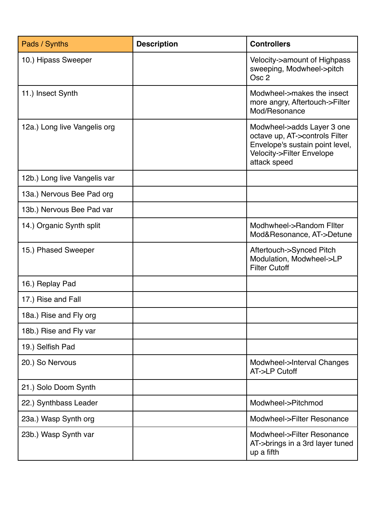| Pads / Synths                | <b>Description</b> | <b>Controllers</b>                                                                                                                           |
|------------------------------|--------------------|----------------------------------------------------------------------------------------------------------------------------------------------|
| 10.) Hipass Sweeper          |                    | Velocity->amount of Highpass<br>sweeping, Modwheel->pitch<br>Osc <sub>2</sub>                                                                |
| 11.) Insect Synth            |                    | Modwheel->makes the insect<br>more angry, Aftertouch->Filter<br>Mod/Resonance                                                                |
| 12a.) Long live Vangelis org |                    | Modwheel->adds Layer 3 one<br>octave up, AT->controls Filter<br>Envelope's sustain point level,<br>Velocity->Filter Envelope<br>attack speed |
| 12b.) Long live Vangelis var |                    |                                                                                                                                              |
| 13a.) Nervous Bee Pad org    |                    |                                                                                                                                              |
| 13b.) Nervous Bee Pad var    |                    |                                                                                                                                              |
| 14.) Organic Synth split     |                    | Modhwheel->Random Filter<br>Mod&Resonance, AT->Detune                                                                                        |
| 15.) Phased Sweeper          |                    | Aftertouch->Synced Pitch<br>Modulation, Modwheel->LP<br><b>Filter Cutoff</b>                                                                 |
| 16.) Replay Pad              |                    |                                                                                                                                              |
| 17.) Rise and Fall           |                    |                                                                                                                                              |
| 18a.) Rise and Fly org       |                    |                                                                                                                                              |
| 18b.) Rise and Fly var       |                    |                                                                                                                                              |
| 19.) Selfish Pad             |                    |                                                                                                                                              |
| 20.) So Nervous              |                    | Modwheel->Interval Changes<br>AT->LP Cutoff                                                                                                  |
| 21.) Solo Doom Synth         |                    |                                                                                                                                              |
| 22.) Synthbass Leader        |                    | Modwheel->Pitchmod                                                                                                                           |
| 23a.) Wasp Synth org         |                    | Modwheel->Filter Resonance                                                                                                                   |
| 23b.) Wasp Synth var         |                    | Modwheel->Filter Resonance<br>AT->brings in a 3rd layer tuned<br>up a fifth                                                                  |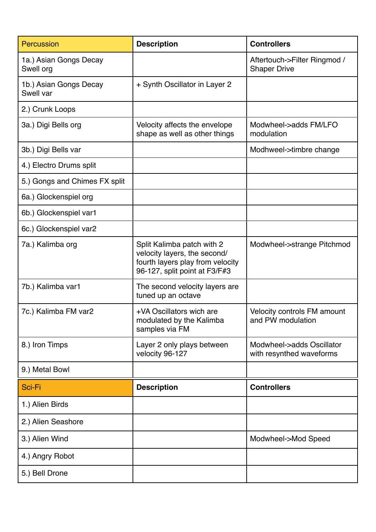| <b>Percussion</b>                   | <b>Description</b>                                                                                                              | <b>Controllers</b>                                      |
|-------------------------------------|---------------------------------------------------------------------------------------------------------------------------------|---------------------------------------------------------|
| 1a.) Asian Gongs Decay<br>Swell org |                                                                                                                                 | Aftertouch->Filter Ringmod /<br><b>Shaper Drive</b>     |
| 1b.) Asian Gongs Decay<br>Swell var | + Synth Oscillator in Layer 2                                                                                                   |                                                         |
| 2.) Crunk Loops                     |                                                                                                                                 |                                                         |
| 3a.) Digi Bells org                 | Velocity affects the envelope<br>shape as well as other things                                                                  | Modwheel->adds FM/LFO<br>modulation                     |
| 3b.) Digi Bells var                 |                                                                                                                                 | Modhweel->timbre change                                 |
| 4.) Electro Drums split             |                                                                                                                                 |                                                         |
| 5.) Gongs and Chimes FX split       |                                                                                                                                 |                                                         |
| 6a.) Glockenspiel org               |                                                                                                                                 |                                                         |
| 6b.) Glockenspiel var1              |                                                                                                                                 |                                                         |
| 6c.) Glockenspiel var2              |                                                                                                                                 |                                                         |
| 7a.) Kalimba org                    | Split Kalimba patch with 2<br>velocity layers, the second/<br>fourth layers play from velocity<br>96-127, split point at F3/F#3 | Modwheel->strange Pitchmod                              |
| 7b.) Kalimba var1                   | The second velocity layers are<br>tuned up an octave                                                                            |                                                         |
| 7c.) Kalimba FM var2                | +VA Oscillators wich are<br>modulated by the Kalimba<br>samples via FM                                                          | <b>Velocity controls FM amount</b><br>and PW modulation |
| 8.) Iron Timps                      | Layer 2 only plays between<br>velocity 96-127                                                                                   | Modwheel->adds Oscillator<br>with resynthed waveforms   |
| 9.) Metal Bowl                      |                                                                                                                                 |                                                         |
| Sci-Fi                              | <b>Description</b>                                                                                                              | <b>Controllers</b>                                      |
| 1.) Alien Birds                     |                                                                                                                                 |                                                         |
| 2.) Alien Seashore                  |                                                                                                                                 |                                                         |
| 3.) Alien Wind                      |                                                                                                                                 | Modwheel->Mod Speed                                     |
| 4.) Angry Robot                     |                                                                                                                                 |                                                         |
| 5.) Bell Drone                      |                                                                                                                                 |                                                         |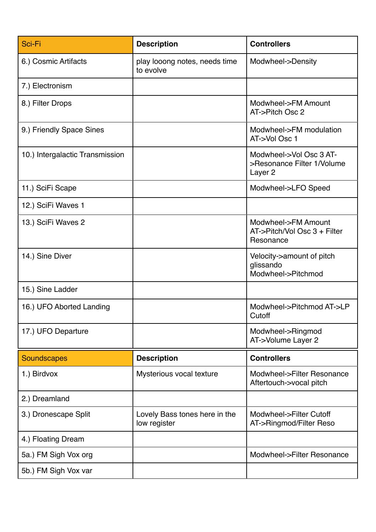| Sci-Fi                          | <b>Description</b>                            | <b>Controllers</b>                                                          |
|---------------------------------|-----------------------------------------------|-----------------------------------------------------------------------------|
| 6.) Cosmic Artifacts            | play looong notes, needs time<br>to evolve    | Modwheel->Density                                                           |
| 7.) Electronism                 |                                               |                                                                             |
| 8.) Filter Drops                |                                               | Modwheel->FM Amount<br>AT->Pitch Osc 2                                      |
| 9.) Friendly Space Sines        |                                               | Modwheel->FM modulation<br>AT->Vol Osc 1                                    |
| 10.) Intergalactic Transmission |                                               | Modwheel->Vol Osc 3 AT-<br>>Resonance Filter 1/Volume<br>Layer <sub>2</sub> |
| 11.) SciFi Scape                |                                               | Modwheel->LFO Speed                                                         |
| 12.) SciFi Waves 1              |                                               |                                                                             |
| 13.) SciFi Waves 2              |                                               | Modwheel->FM Amount<br>AT->Pitch/Vol Osc 3 + Filter<br>Resonance            |
| 14.) Sine Diver                 |                                               | Velocity->amount of pitch<br>glissando<br>Modwheel->Pitchmod                |
| 15.) Sine Ladder                |                                               |                                                                             |
| 16.) UFO Aborted Landing        |                                               | Modwheel->Pitchmod AT->LP<br>Cutoff                                         |
| 17.) UFO Departure              |                                               | Modwheel->Ringmod<br>AT->Volume Layer 2                                     |
| <b>Soundscapes</b>              | <b>Description</b>                            | <b>Controllers</b>                                                          |
| 1.) Birdvox                     | Mysterious vocal texture                      | Modwheel->Filter Resonance<br>Aftertouch->vocal pitch                       |
| 2.) Dreamland                   |                                               |                                                                             |
| 3.) Dronescape Split            | Lovely Bass tones here in the<br>low register | Modwheel->Filter Cutoff<br>AT->Ringmod/Filter Reso                          |
| 4.) Floating Dream              |                                               |                                                                             |
| 5a.) FM Sigh Vox org            |                                               | Modwheel->Filter Resonance                                                  |
| 5b.) FM Sigh Vox var            |                                               |                                                                             |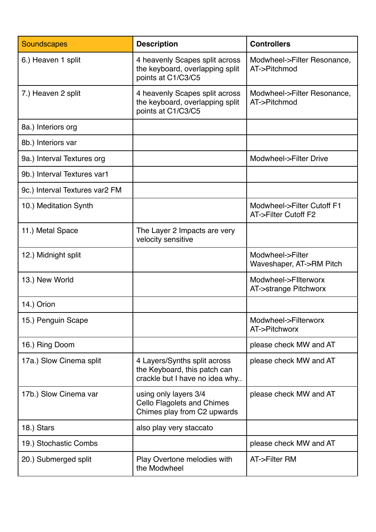| <b>Soundscapes</b>             | <b>Description</b>                                                                             | <b>Controllers</b>                                 |
|--------------------------------|------------------------------------------------------------------------------------------------|----------------------------------------------------|
| 6.) Heaven 1 split             | 4 heavenly Scapes split across<br>the keyboard, overlapping split<br>points at C1/C3/C5        | Modwheel->Filter Resonance,<br>AT->Pitchmod        |
| 7.) Heaven 2 split             | 4 heavenly Scapes split across<br>the keyboard, overlapping split<br>points at C1/C3/C5        | Modwheel->Filter Resonance,<br>AT->Pitchmod        |
| 8a.) Interiors org             |                                                                                                |                                                    |
| 8b.) Interiors var             |                                                                                                |                                                    |
| 9a.) Interval Textures org     |                                                                                                | Modwheel->Filter Drive                             |
| 9b.) Interval Textures var1    |                                                                                                |                                                    |
| 9c.) Interval Textures var2 FM |                                                                                                |                                                    |
| 10.) Meditation Synth          |                                                                                                | Modwheel->Filter Cutoff F1<br>AT->Filter Cutoff F2 |
| 11.) Metal Space               | The Layer 2 Impacts are very<br>velocity sensitive                                             |                                                    |
| 12.) Midnight split            |                                                                                                | Modwheel->Filter<br>Waveshaper, AT->RM Pitch       |
| 13.) New World                 |                                                                                                | Modwheel->Fliterworx<br>AT->strange Pitchworx      |
| 14.) Orion                     |                                                                                                |                                                    |
| 15.) Penguin Scape             |                                                                                                | Modwheel->Filterworx<br>AT->Pitchworx              |
| 16.) Ring Doom                 |                                                                                                | please check MW and AT                             |
| 17a.) Slow Cinema split        | 4 Layers/Synths split across<br>the Keyboard, this patch can<br>crackle but I have no idea why | please check MW and AT                             |
| 17b.) Slow Cinema var          | using only layers 3/4<br><b>Cello Flagolets and Chimes</b><br>Chimes play from C2 upwards      | please check MW and AT                             |
| 18.) Stars                     | also play very staccato                                                                        |                                                    |
| 19.) Stochastic Combs          |                                                                                                | please check MW and AT                             |
| 20.) Submerged split           | Play Overtone melodies with<br>the Modwheel                                                    | AT->Filter RM                                      |